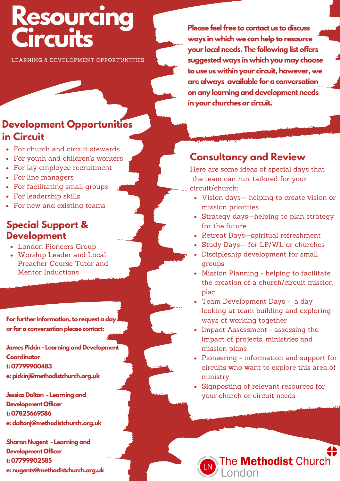# **Resourcing Circuits**

LEARNING & DEVELOPMENT OPPORTUNITIES

# **Development Opportunities in Circuit**

- For church and circuit stewards
- For youth and children's workers
- For lay employee recruitment
- For line managers
- For facilitating small groups
- For leadership skills
- For new and existing teams

### **Special Support & Development**

- London Pioneers Group
- Worship Leader and Local Preacher Course Tutor and Mentor Inductions

For further information, to request a day **or for a conversation please contact:**

**James Pickin - Learning and Development Coordinator t: 07799900483 e: pickinj@methodistchurch.org.uk**

**Jessica Dalton - Learning and Development Officer t: 07825669586 e: daltonj@methodistchurch.org.uk**

**Sharon Nugent - Learning and Development Officer t: 07799902585 e: nugents@methodistchurch.org.uk**

**Please feelfree to contact us to discuss ways in which we can help to resource your local needs. The following list offers suggested ways in which you may choose to use us within your circuit, however, we are always available for a conversation on any learning and development needs in your churches or circuit.**

# **Consultancy and Review**

Here are some ideas of special days that the team can run, tailored for your circuit/church:

- Vision days— helping to create vision or mission priorities
- Strategy days—helping to plan strategy for the future
- Retreat Days-spiritual refreshment
- Study Days- for LP/WL or churches
- Discipleship development for small groups
- Mission Planning helping to facilitate the creation of a church/circuit mission plan
- Team Development Days a day looking at team building and exploring ways of working together
- Impact Assessment assessing the impact of projects, ministries and mission plans
- Pioneering information and support for circuits who want to explore this area of ministry
- Signposting of relevant resources for your church or circuit needs